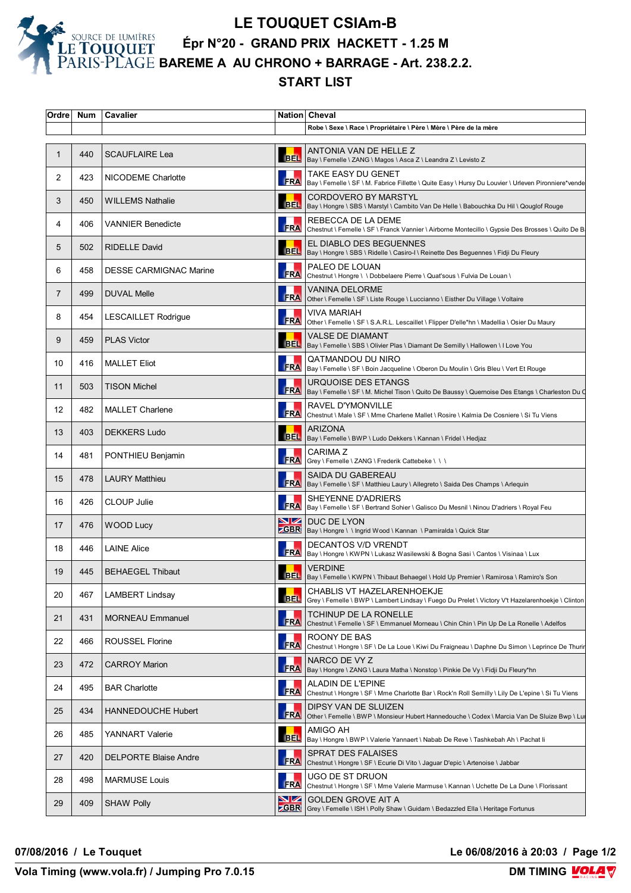

**LE TOUQUET CSIAm-B Épr N°20 - GRAND PRIX HACKETT - 1.25 M BAREME A AU CHRONO + BARRAGE - Art. 238.2.2.**

## **START LIST**

| Ordre          | Num | Cavalier                      |                                      | Nation Cheval                                                                                                                   |
|----------------|-----|-------------------------------|--------------------------------------|---------------------------------------------------------------------------------------------------------------------------------|
|                |     |                               |                                      | Robe \ Sexe \ Race \ Propriétaire \ Père \ Mère \ Père de la mère                                                               |
| $\mathbf{1}$   | 440 | <b>SCAUFLAIRE Lea</b>         | <b>BELI</b>                          | ANTONIA VAN DE HELLE Z<br>Bay \ Femelle \ ZANG \ Magos \ Asca Z \ Leandra Z \ Levisto Z                                         |
| $\overline{2}$ | 423 | NICODEME Charlotte            |                                      | TAKE EASY DU GENET<br>FRA   Bay \ Femelle \ SF \ M. Fabrice Fillette \ Quite Easy \ Hursy Du Louvier \ Urleven Pironniere*vende |
| 3              | 450 | <b>WILLEMS Nathalie</b>       |                                      | CORDOVERO BY MARSTYL<br>BEL  Bay \ Hongre \ SBS \ Marstyl \ Cambito Van De Helle \ Babouchka Du Hil \ Qouglof Rouge             |
| 4              | 406 | <b>VANNIER Benedicte</b>      |                                      | REBECCA DE LA DEME<br>FRA   Chestnut \ Femelle \ SF \ Franck Vannier \ Airborne Montecillo \ Gypsie Des Brosses \ Quito De B    |
| 5              | 502 | <b>RIDELLE David</b>          |                                      | EL DIABLO DES BEGUENNES<br>BEL   Bay \ Hongre \ SBS \ Ridelle \ Casiro-I \ Reinette Des Beguennes \ Fidji Du Fleury             |
| 6              | 458 | <b>DESSE CARMIGNAC Marine</b> |                                      | PALEO DE LOUAN<br>FRA Chestnut \ Hongre \ \ Dobbelaere Pierre \ Quat'sous \ Fulvia De Louan \                                   |
| $\overline{7}$ | 499 | <b>DUVAL Melle</b>            | <b>FRA</b>                           | VANINA DELORME<br>Other \ Femelle \ SF \ Liste Rouge \ Luccianno \ Eisther Du Village \ Voltaire                                |
| 8              | 454 | <b>LESCAILLET Rodrigue</b>    | FRA                                  | VIVA MARIAH<br>Other \ Femelle \ SF \ S.A.R.L. Lescaillet \ Flipper D'elle*hn \ Madellia \ Osier Du Maury                       |
| 9              | 459 | <b>PLAS Victor</b>            | <b>BEL</b>                           | VALSE DE DIAMANT<br>Bay \ Femelle \ SBS \ Olivier Plas \ Diamant De Semilly \ Hallowen \ I Love You                             |
| 10             | 416 | <b>MALLET Eliot</b>           |                                      | QATMANDOU DU NIRO<br>FRA   Bay \ Femelle \ SF \ Boin Jacqueline \ Oberon Du Moulin \ Gris Bleu \ Vert Et Rouge                  |
| 11             | 503 | <b>TISON Michel</b>           |                                      | URQUOISE DES ETANGS<br>FRA Bay \ Femelle \ SF \ M. Michel Tison \ Quito De Baussy \ Quernoise Des Etangs \ Charleston Du C      |
| 12             | 482 | <b>MALLET Charlene</b>        | <b>ERA</b>                           | <b>RAVEL D'YMONVILLE</b><br>Chestnut \ Male \ SF \ Mme Charlene Mallet \ Rosire \ Kalmia De Cosniere \ Si Tu Viens              |
| 13             | 403 | <b>DEKKERS Ludo</b>           |                                      | <b>ARIZONA</b><br>BEL   Bay \ Femelle \ BWP \ Ludo Dekkers \ Kannan \ Fridel \ Hedjaz                                           |
| 14             | 481 | PONTHIEU Benjamin             |                                      | CARIMA Z<br>FRA Grey \ Femelle \ ZANG \ Frederik Cattebeke \ \ \                                                                |
| 15             | 478 | <b>LAURY Matthieu</b>         | <b>FRA</b>                           | SAIDA DU GABEREAU<br>Bay \ Femelle \ SF \ Matthieu Laury \ Allegreto \ Saida Des Champs \ Arlequin                              |
| 16             | 426 | <b>CLOUP Julie</b>            |                                      | SHEYENNE D'ADRIERS<br>FRA Bay \ Femelle \ SF \ Bertrand Sohier \ Galisco Du Mesnil \ Ninou D'adriers \ Royal Feu                |
| 17             | 476 | <b>WOOD Lucy</b>              |                                      | NZ DUC DE LYON<br><b>CBR</b> Bay \ Hongre \ \ Ingrid Wood \ Kannan \ Pamiralda \ Quick Star                                     |
| 18             | 446 | <b>LAINE Alice</b>            |                                      | DECANTOS V/D VRENDT<br>FRA   Bay \ Hongre \ KWPN \ Lukasz Wasilewski & Bogna Sasi \ Cantos \ Visinaa \ Lux                      |
| 19             | 445 | <b>BEHAEGEL Thibaut</b>       |                                      | VERDINE<br>BEL   Bay \ Femelle \ KWPN \ Thibaut Behaegel \ Hold Up Premier \ Ramirosa \ Ramiro's Son                            |
| 20             | 467 | <b>LAMBERT Lindsay</b>        | <b>BEL</b>                           | CHABLIS VT HAZELARENHOEKJE<br>Grey \ Femelle \ BWP \ Lambert Lindsay \ Fuego Du Prelet \ Victory V't Hazelarenhoekje \ Clinton  |
| 21             | 431 | <b>MORNEAU Emmanuel</b>       | <b>FRA</b>                           | TCHINUP DE LA RONELLE<br>Chestnut \ Femelle \ SF \ Emmanuel Morneau \ Chin Chin \ Pin Up De La Ronelle \ Adelfos                |
| 22             | 466 | ROUSSEL Florine               | FRA                                  | ROONY DE BAS<br>Chestnut \ Hongre \ SF \ De La Loue \ Kiwi Du Fraigneau \ Daphne Du Simon \ Leprince De Thurir                  |
| 23             | 472 | <b>CARROY Marion</b>          | <b>FRA</b>                           | NARCO DE VY Z<br>Bay \ Hongre \ ZANG \ Laura Matha \ Nonstop \ Pinkie De Vy \ Fidji Du Fleury*hn                                |
| 24             | 495 | <b>BAR Charlotte</b>          |                                      | ALADIN DE L'EPINE<br>FRA Chestnut \ Hongre \ SF \ Mme Charlotte Bar \ Rock'n Roll Semilly \ Lily De L'epine \ Si Tu Viens       |
| 25             | 434 | <b>HANNEDOUCHE Hubert</b>     | <b>FRA</b>                           | DIPSY VAN DE SLUIZEN<br>Other \ Femelle \ BWP \ Monsieur Hubert Hannedouche \ Codex \ Marcia Van De Sluize Bwp \ Lui            |
| 26             | 485 | YANNART Valerie               | <b>BEL</b>                           | AMIGO AH<br>Bay \ Hongre \ BWP \ Valerie Yannaert \ Nabab De Reve \ Tashkebah Ah \ Pachat li                                    |
| 27             | 420 | <b>DELPORTE Blaise Andre</b>  | <b>FRA</b>                           | SPRAT DES FALAISES<br>Chestnut \ Hongre \ SF \ Ecurie Di Vito \ Jaguar D'epic \ Artenoise \ Jabbar                              |
| 28             | 498 | <b>MARMUSE Louis</b>          | <b>FRA</b>                           | UGO DE ST DRUON<br>Chestnut \ Hongre \ SF \ Mme Valerie Marmuse \ Kannan \ Uchette De La Dune \ Florissant                      |
| 29             | 409 | <b>SHAW Polly</b>             | $\blacktriangleright$<br><b>ZGBR</b> | <b>GOLDEN GROVE AIT A</b><br>Grey \ Femelle \ ISH \ Polly Shaw \ Guidam \ Bedazzled Ella \ Heritage Fortunus                    |

**07/08/2016 / Le Touquet Le 06/08/2016 à 20:03 / Page 1/2**